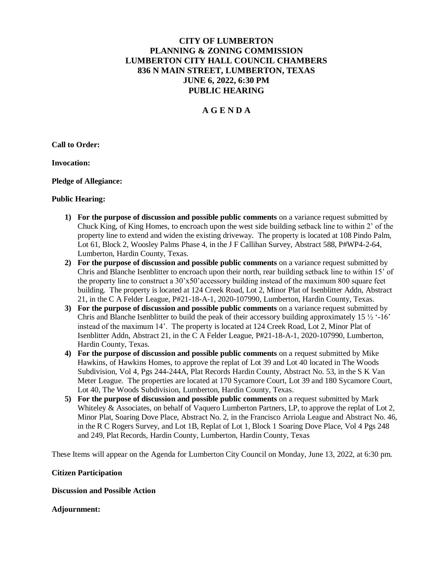# **CITY OF LUMBERTON PLANNING & ZONING COMMISSION LUMBERTON CITY HALL COUNCIL CHAMBERS 836 N MAIN STREET, LUMBERTON, TEXAS JUNE 6, 2022, 6:30 PM PUBLIC HEARING**

## **A G E N D A**

**Call to Order:** 

**Invocation:**

**Pledge of Allegiance:** 

## **Public Hearing:**

- **1) For the purpose of discussion and possible public comments** on a variance request submitted by Chuck King, of King Homes, to encroach upon the west side building setback line to within 2' of the property line to extend and widen the existing driveway. The property is located at 108 Pindo Palm, Lot 61, Block 2, Woosley Palms Phase 4, in the J F Callihan Survey, Abstract 588, P#WP4-2-64, Lumberton, Hardin County, Texas.
- **2) For the purpose of discussion and possible public comments** on a variance request submitted by Chris and Blanche Isenblitter to encroach upon their north, rear building setback line to within 15' of the property line to construct a 30'x50'accessory building instead of the maximum 800 square feet building. The property is located at 124 Creek Road, Lot 2, Minor Plat of Isenblitter Addn, Abstract 21, in the C A Felder League, P#21-18-A-1, 2020-107990, Lumberton, Hardin County, Texas.
- **3) For the purpose of discussion and possible public comments** on a variance request submitted by Chris and Blanche Isenblitter to build the peak of their accessory building approximately 15  $\frac{1}{2}$  '-16' instead of the maximum 14'. The property is located at 124 Creek Road, Lot 2, Minor Plat of Isenblitter Addn, Abstract 21, in the C A Felder League, P#21-18-A-1, 2020-107990, Lumberton, Hardin County, Texas.
- **4) For the purpose of discussion and possible public comments** on a request submitted by Mike Hawkins, of Hawkins Homes, to approve the replat of Lot 39 and Lot 40 located in The Woods Subdivision, Vol 4, Pgs 244-244A, Plat Records Hardin County, Abstract No. 53, in the S K Van Meter League. The properties are located at 170 Sycamore Court, Lot 39 and 180 Sycamore Court, Lot 40, The Woods Subdivision, Lumberton, Hardin County, Texas.
- **5) For the purpose of discussion and possible public comments** on a request submitted by Mark Whiteley & Associates, on behalf of Vaquero Lumberton Partners, LP, to approve the replat of Lot 2, Minor Plat, Soaring Dove Place, Abstract No. 2, in the Francisco Arriola League and Abstract No. 46, in the R C Rogers Survey, and Lot 1B, Replat of Lot 1, Block 1 Soaring Dove Place, Vol 4 Pgs 248 and 249, Plat Records, Hardin County, Lumberton, Hardin County, Texas

These Items will appear on the Agenda for Lumberton City Council on Monday, June 13, 2022, at 6:30 pm.

#### **Citizen Participation**

## **Discussion and Possible Action**

## **Adjournment:**